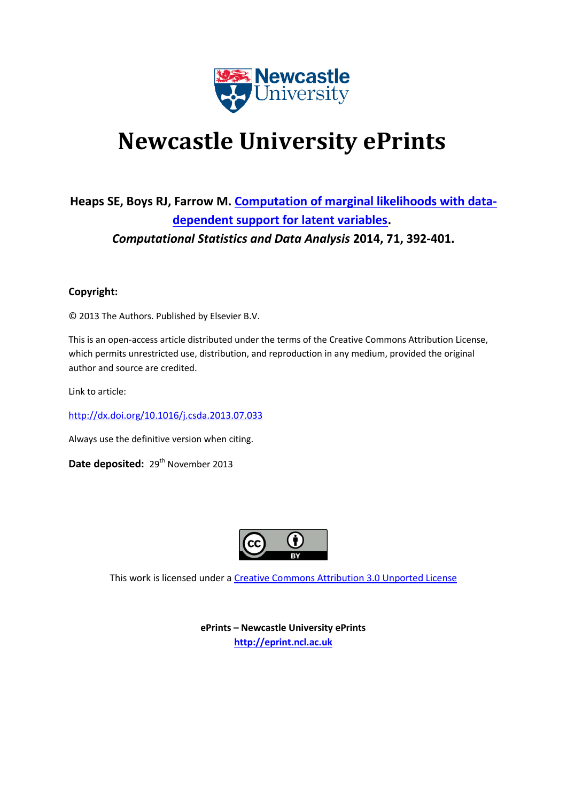

# **Newcastle University ePrints**

# **Heaps SE, Boys RJ, Farrow M. [Computation of marginal likelihoods with data](javascript:ViewPublication(193647);)[dependent support for latent variables.](javascript:ViewPublication(193647);)** *Computational Statistics and Data Analysis* **2014, 71, 392-401.**

### **Copyright:**

© 2013 The Authors. Published by Elsevier B.V.

This is an open-access article distributed under the terms of the Creative Commons Attribution License, which permits unrestricted use, distribution, and reproduction in any medium, provided the original author and source are credited.

Link to article:

<http://dx.doi.org/10.1016/j.csda.2013.07.033>

Always use the definitive version when citing.

Date deposited: 29<sup>th</sup> November 2013



This work is licensed under a [Creative Commons Attribution 3.0 Unported License](http://creativecommons.org/licenses/by/3.0/deed.en_GB)

**ePrints – Newcastle University ePrints [http://eprint.ncl.ac.uk](http://eprint.ncl.ac.uk/)**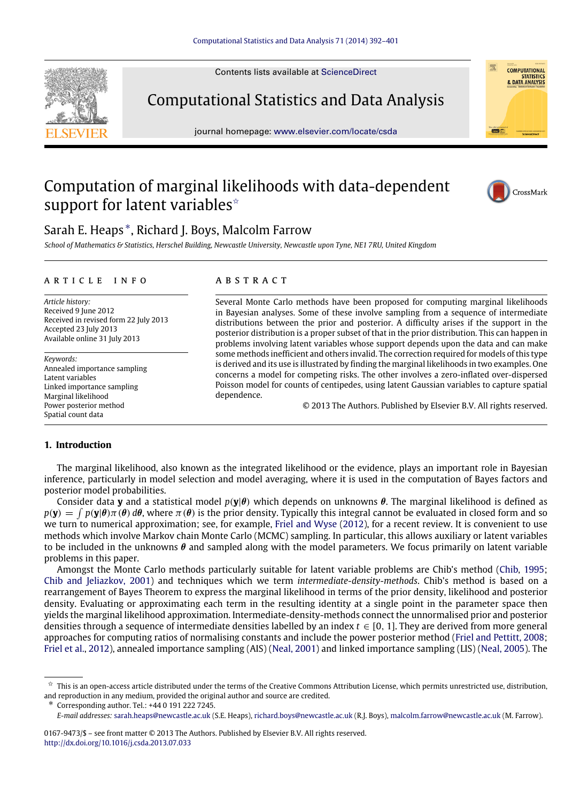Contents lists available at [ScienceDirect](http://www.elsevier.com/locate/csda)

Computational Statistics and Data Analysis

journal homepage: [www.elsevier.com/locate/csda](http://www.elsevier.com/locate/csda)

## Computation of marginal likelihoods with data-dependent support for latent variables<sup> $\star$ </sup>



*School of Mathematics & Statistics, Herschel Building, Newcastle University, Newcastle upon Tyne, NE1 7RU, United Kingdom*

#### a r t i c l e i n f o

*Article history:* Received 9 June 2012 Received in revised form 22 July 2013 Accepted 23 July 2013 Available online 31 July 2013

*Keywords:* Annealed importance sampling Latent variables Linked importance sampling Marginal likelihood Power posterior method Spatial count data

#### a b s t r a c t

Several Monte Carlo methods have been proposed for computing marginal likelihoods in Bayesian analyses. Some of these involve sampling from a sequence of intermediate distributions between the prior and posterior. A difficulty arises if the support in the posterior distribution is a proper subset of that in the prior distribution. This can happen in problems involving latent variables whose support depends upon the data and can make some methods inefficient and others invalid. The correction required for models of this type is derived and its use is illustrated by finding the marginal likelihoods in two examples. One concerns a model for competing risks. The other involves a zero-inflated over-dispersed Poisson model for counts of centipedes, using latent Gaussian variables to capture spatial dependence.

© 2013 The Authors. Published by Elsevier B.V. All rights reserved.

#### <span id="page-1-2"></span>**1. Introduction**

The marginal likelihood, also known as the integrated likelihood or the evidence, plays an important role in Bayesian inference, particularly in model selection and model averaging, where it is used in the computation of Bayes factors and posterior model probabilities.

Consider data **y** and a statistical model *p*(**y**|θ) which depends on unknowns θ. The marginal likelihood is defined as  $p(\mathbf{y}) = \int p(\mathbf{y}|\theta)\pi(\theta) d\theta$ , where  $\pi(\theta)$  is the prior density. Typically this integral cannot be evaluated in closed form and so we turn to numerical approximation; see, for example, [Friel](#page-9-0) [and](#page-9-0) [Wyse](#page-9-0) [\(2012\)](#page-9-0), for a recent review. It is convenient to use methods which involve Markov chain Monte Carlo (MCMC) sampling. In particular, this allows auxiliary or latent variables to be included in the unknowns  $\theta$  and sampled along with the model parameters. We focus primarily on latent variable problems in this paper.

Amongst the Monte Carlo methods particularly suitable for latent variable problems are Chib's method [\(Chib,](#page-9-1) [1995;](#page-9-1) [Chib](#page-9-2) [and](#page-9-2) [Jeliazkov,](#page-9-2) [2001\)](#page-9-2) and techniques which we term *intermediate-density-methods*. Chib's method is based on a rearrangement of Bayes Theorem to express the marginal likelihood in terms of the prior density, likelihood and posterior density. Evaluating or approximating each term in the resulting identity at a single point in the parameter space then yields the marginal likelihood approximation. Intermediate-density-methods connect the unnormalised prior and posterior densities through a sequence of intermediate densities labelled by an index  $t \in [0, 1]$ . They are derived from more general approaches for computing ratios of normalising constants and include the power posterior method [\(Friel](#page-9-3) [and](#page-9-3) [Pettitt,](#page-9-3) [2008;](#page-9-3) [Friel](#page-9-4) [et al.,](#page-9-4) [2012\)](#page-9-4), annealed importance sampling (AIS) [\(Neal,](#page-10-0) [2001\)](#page-10-0) and linked importance sampling (LIS) [\(Neal,](#page-10-1) [2005\)](#page-10-1). The

<span id="page-1-1"></span>∗ Corresponding author. Tel.: +44 0 191 222 7245.







<span id="page-1-0"></span> $\overrightarrow{x}$  This is an open-access article distributed under the terms of the Creative Commons Attribution License, which permits unrestricted use, distribution, and reproduction in any medium, provided the original author and source are credited.

*E-mail addresses:* [sarah.heaps@newcastle.ac.uk](mailto:sarah.heaps@newcastle.ac.uk) (S.E. Heaps), [richard.boys@newcastle.ac.uk](mailto:richard.boys@newcastle.ac.uk) (R.J. Boys), [malcolm.farrow@newcastle.ac.uk](mailto:malcolm.farrow@newcastle.ac.uk) (M. Farrow).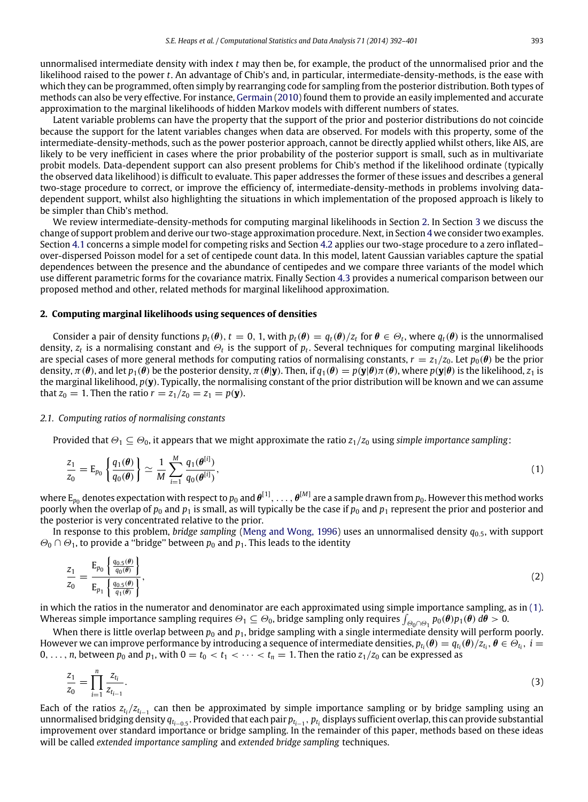unnormalised intermediate density with index *t* may then be, for example, the product of the unnormalised prior and the likelihood raised to the power *t*. An advantage of Chib's and, in particular, intermediate-density-methods, is the ease with which they can be programmed, often simply by rearranging code for sampling from the posterior distribution. Both types of methods can also be very effective. For instance, [Germain](#page-9-5) [\(2010\)](#page-9-5) found them to provide an easily implemented and accurate approximation to the marginal likelihoods of hidden Markov models with different numbers of states.

Latent variable problems can have the property that the support of the prior and posterior distributions do not coincide because the support for the latent variables changes when data are observed. For models with this property, some of the intermediate-density-methods, such as the power posterior approach, cannot be directly applied whilst others, like AIS, are likely to be very inefficient in cases where the prior probability of the posterior support is small, such as in multivariate probit models. Data-dependent support can also present problems for Chib's method if the likelihood ordinate (typically the observed data likelihood) is difficult to evaluate. This paper addresses the former of these issues and describes a general two-stage procedure to correct, or improve the efficiency of, intermediate-density-methods in problems involving datadependent support, whilst also highlighting the situations in which implementation of the proposed approach is likely to be simpler than Chib's method.

We review intermediate-density-methods for computing marginal likelihoods in Section [2.](#page-2-0) In Section [3](#page-4-0) we discuss the change of support problem and derive our two-stage approximation procedure. Next, in Section [4](#page-5-0) we consider two examples. Section [4.1](#page-5-1) concerns a simple model for competing risks and Section [4.2](#page-5-2) applies our two-stage procedure to a zero inflated– over-dispersed Poisson model for a set of centipede count data. In this model, latent Gaussian variables capture the spatial dependences between the presence and the abundance of centipedes and we compare three variants of the model which use different parametric forms for the covariance matrix. Finally Section [4.3](#page-7-0) provides a numerical comparison between our proposed method and other, related methods for marginal likelihood approximation.

#### <span id="page-2-0"></span>**2. Computing marginal likelihoods using sequences of densities**

Consider a pair of density functions  $p_t(\theta)$ ,  $t=0$ , 1, with  $p_t(\theta) = q_t(\theta)/z_t$  for  $\theta \in \Theta_t$ , where  $q_t(\theta)$  is the unnormalised density,  $z_t$  is a normalising constant and  $\Theta_t$  is the support of  $p_t$ . Several techniques for computing marginal likelihoods are special cases of more general methods for computing ratios of normalising constants,  $r = z_1/z_0$ . Let  $p_0(\theta)$  be the prior density,  $\pi(\theta)$ , and let  $p_1(\theta)$  be the posterior density,  $\pi(\theta|\mathbf{y})$ . Then, if  $q_1(\theta) = p(\mathbf{y}|\theta)\pi(\theta)$ , where  $p(\mathbf{y}|\theta)$  is the likelihood,  $z_1$  is the marginal likelihood, *p*(**y**). Typically, the normalising constant of the prior distribution will be known and we can assume that  $z_0 = 1$ . Then the ratio  $r = z_1/z_0 = z_1 = p(\mathbf{y})$ .

#### <span id="page-2-3"></span>*2.1. Computing ratios of normalising constants*

Provided that  $\Theta_1 \subseteq \Theta_0$ , it appears that we might approximate the ratio  $z_1/z_0$  using *simple importance sampling*:

<span id="page-2-1"></span>
$$
\frac{z_1}{z_0} = \mathsf{E}_{p_0} \left\{ \frac{q_1(\theta)}{q_0(\theta)} \right\} \simeq \frac{1}{M} \sum_{i=1}^{M} \frac{q_1(\theta^{[i]})}{q_0(\theta^{[i]})},\tag{1}
$$

where  $E_{p_0}$  denotes expectation with respect to  $p_0$  and  $\pmb{\theta}^{[1]},\,\dots,\,\pmb{\theta}^{[M]}$  are a sample drawn from  $p_0.$  However this method works poorly when the overlap of  $p_0$  and  $p_1$  is small, as will typically be the case if  $p_0$  and  $p_1$  represent the prior and posterior and the posterior is very concentrated relative to the prior.

In response to this problem, *bridge sampling* [\(Meng](#page-10-2) [and](#page-10-2) [Wong,](#page-10-2) [1996\)](#page-10-2) uses an unnormalised density *q*0.5, with support  $\Theta_0 \cap \Theta_1$ , to provide a "bridge" between  $p_0$  and  $p_1$ . This leads to the identity

$$
\frac{z_1}{z_0} = \frac{E_{p_0} \left\{ \frac{q_{0.5}(\theta)}{q_0(\theta)} \right\}}{E_{p_1} \left\{ \frac{q_{0.5}(\theta)}{q_1(\theta)} \right\}},\tag{2}
$$

in which the ratios in the numerator and denominator are each approximated using simple importance sampling, as in [\(1\).](#page-2-1) Whereas simple importance sampling requires  $\Theta_1 \subseteq \Theta_0$ , bridge sampling only requires  $\int_{\Theta_0 \cap \Theta_1} p_0(\theta) p_1(\theta) d\theta > 0$ .

When there is little overlap between  $p_0$  and  $p_1$ , bridge sampling with a single intermediate density will perform poorly. However we can improve performance by introducing a sequence of intermediate densities,  $p_{t_i}(\theta) = q_{t_i}(\theta)/z_{t_i}$ ,  $\theta \in \Theta_{t_i}$ ,  $i=$ 0, ..., *n*, between  $p_0$  and  $p_1$ , with  $0 = t_0 < t_1 < \cdots < t_n = 1$ . Then the ratio  $z_1/z_0$  can be expressed as

<span id="page-2-2"></span>
$$
\frac{z_1}{z_0} = \prod_{i=1}^n \frac{z_{t_i}}{z_{t_{i-1}}}.
$$
\n(3)

Each of the ratios  $z_{t_i}/z_{t_{i-1}}$  can then be approximated by simple importance sampling or by bridge sampling using an unnormalised bridging density *q<sup>t</sup>i*−0.<sup>5</sup> . Provided that each pair *p<sup>t</sup>i*−<sup>1</sup> , *p<sup>t</sup><sup>i</sup>* displays sufficient overlap, this can provide substantial improvement over standard importance or bridge sampling. In the remainder of this paper, methods based on these ideas will be called *extended importance sampling* and *extended bridge sampling* techniques.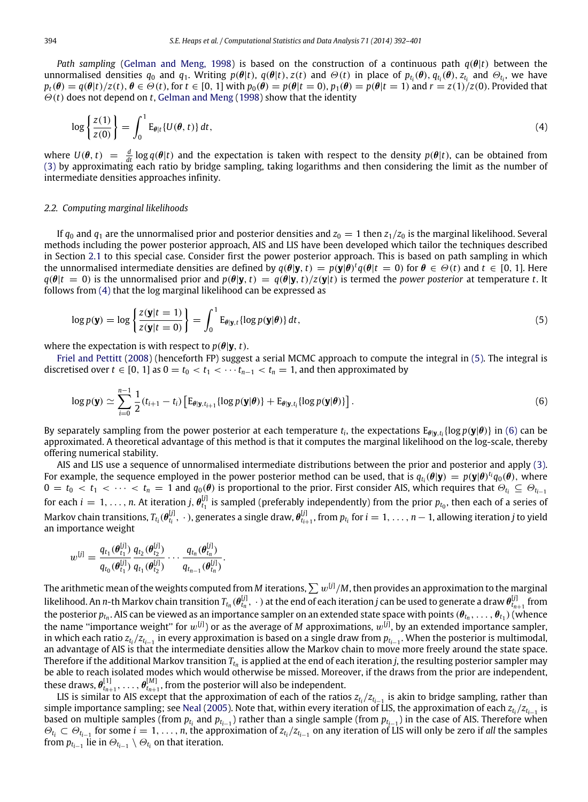*Path sampling* [\(Gelman](#page-9-6) [and](#page-9-6) [Meng,](#page-9-6) [1998\)](#page-9-6) is based on the construction of a continuous path *q*(θ|*t*) between the unnormalised densities  $q_0$  and  $q_1$ . Writing  $p(\theta|t)$ ,  $q(\theta|t)$ ,  $z(t)$  and  $\Theta(t)$  in place of  $p_{t_i}(\theta)$ ,  $q_{t_i}(\theta)$ ,  $z_{t_i}$  and  $\Theta_{t_i}$ , we have  $p_t(\theta) = q(\theta|t)/z(t), \theta \in \Theta(t)$ , for  $t \in [0, 1]$  with  $p_0(\theta) = p(\theta|t = 0)$ ,  $p_1(\theta) = p(\theta|t = 1)$  and  $r = z(1)/z(0)$ . Provided that Θ(*t*) does not depend on *t*, [Gelman](#page-9-6) [and](#page-9-6) [Meng](#page-9-6) [\(1998\)](#page-9-6) show that the identity

<span id="page-3-0"></span>
$$
\log\left\{\frac{z(1)}{z(0)}\right\} = \int_0^1 \mathrm{E}_{\theta|t} \{U(\theta, t)\} \, dt,\tag{4}
$$

where  $U(\theta, t) = \frac{d}{dt} \log q(\theta|t)$  and the expectation is taken with respect to the density  $p(\theta|t)$ , can be obtained from [\(3\)](#page-2-2) by approximating each ratio by bridge sampling, taking logarithms and then considering the limit a intermediate densities approaches infinity.

#### <span id="page-3-3"></span>*2.2. Computing marginal likelihoods*

If  $q_0$  and  $q_1$  are the unnormalised prior and posterior densities and  $z_0 = 1$  then  $z_1/z_0$  is the marginal likelihood. Several methods including the power posterior approach, AIS and LIS have been developed which tailor the techniques described in Section [2.1](#page-2-3) to this special case. Consider first the power posterior approach. This is based on path sampling in which the unnormalised intermediate densities are defined by  $q(\theta|\mathbf{y},t) = p(\mathbf{y}|\theta)^t q(\theta|t=0)$  for  $\theta \in \Theta(t)$  and  $t \in [0, 1]$ . Here  $q(\theta|t = 0)$  is the unnormalised prior and  $p(\theta|\mathbf{y}, t) = q(\theta|\mathbf{y}, t)/z(\mathbf{y}|t)$  is termed the *power posterior* at temperature *t*. It follows from [\(4\)](#page-3-0) that the log marginal likelihood can be expressed as

<span id="page-3-1"></span>
$$
\log p(\mathbf{y}) = \log \left\{ \frac{z(\mathbf{y}|t=1)}{z(\mathbf{y}|t=0)} \right\} = \int_0^1 \mathrm{E}_{\theta|\mathbf{y},t} \{ \log p(\mathbf{y}|\theta) \} dt, \tag{5}
$$

where the expectation is with respect to  $p(\theta|\mathbf{v}, t)$ .

[Friel](#page-9-3) [and](#page-9-3) [Pettitt](#page-9-3) [\(2008\)](#page-9-3) (henceforth FP) suggest a serial MCMC approach to compute the integral in [\(5\).](#page-3-1) The integral is discretised over  $t \in [0, 1]$  as  $0 = t_0 < t_1 < \cdots t_{n-1} < t_n = 1$ , and then approximated by

<span id="page-3-2"></span>
$$
\log p(\mathbf{y}) \simeq \sum_{i=0}^{n-1} \frac{1}{2} (t_{i+1} - t_i) \left[ \mathrm{E}_{\theta | \mathbf{y}, t_{i+1}} \{ \log p(\mathbf{y} | \theta) \} + \mathrm{E}_{\theta | \mathbf{y}, t_i} \{ \log p(\mathbf{y} | \theta) \} \right]. \tag{6}
$$

By separately sampling from the power posterior at each temperature  $t_i$ , the expectations  $E_{\theta|y,t_i}\{\log p(y|\theta)\}$  in [\(6\)](#page-3-2) can be approximated. A theoretical advantage of this method is that it computes the marginal likelihood on the log-scale, thereby offering numerical stability.

AIS and LIS use a sequence of unnormalised intermediate distributions between the prior and posterior and apply [\(3\).](#page-2-2) For example, the sequence employed in the power posterior method can be used, that is  $q_{t_i}(\theta|\mathbf{y}) = p(\mathbf{y}|\theta)^{t_i}q_0(\theta)$ , where  $0 = t_0 < t_1 < \cdots < t_n = 1$  and  $q_0(\theta)$  is proportional to the prior. First consider AIS, which requires that  $\Theta_{t_i} \subseteq \Theta_{t_{i-1}}$ for each  $i = 1, \ldots, n$ . At iteration  $j, \theta_{t_1}^{[j]}$  $t_1^{\nu_1}$  is sampled (preferably independently) from the prior  $p_{t_0}$ , then each of a series of Markov chain transitions,  $T_{t_i}(\pmb{\theta}_{t_i}^{[j]})$  $\theta_{t_i}^{[j]}$ ,  $\cdot$  ), generates a single draw,  $\pmb{\theta}_{t_i}^{[j]}$  $p_{t_{i+1}}^{[j]}$ , from  $p_{t_i}$  for  $i=1,\ldots,n-1$ , allowing iteration *j* to yield an importance weight

$$
w^{[j]} = \frac{q_{t_1}(\theta_{t_1}^{[j]})}{q_{t_0}(\theta_{t_1}^{[j]})} \frac{q_{t_2}(\theta_{t_2}^{[j]})}{q_{t_1}(\theta_{t_2}^{[j]})} \cdots \frac{q_{t_n}(\theta_{t_n}^{[j]})}{q_{t_{n-1}}(\theta_{t_n}^{[j]})}.
$$

The arithmetic mean of the weights computed from *M* iterations,  $\sum w^{[j]}/M$ , then provides an approximation to the marginal likelihood. An *n-*th Markov chain transition  $T_{t_n}(\theta_{t_n}^{[j]},\;\cdot\;)$  at the end of each iteration  $j$  can be used to generate a draw  $\theta_{t_n}^{[j]}$  $t_{n+1}^{\text{U1}}$  from the posterior  $p_{t_n}.$  AIS can be viewed as an importance sampler on an extended state space with points  $(\pmb{\theta}_{t_n},\ldots,\pmb{\theta}_{t_1})$  (whence the name "importance weight" for  $w^{[j]}$ ) or as the average of *M* approximations,  $w^{[j]}$ , by an extended importance sampler, in which each ratio *z<sup>t</sup><sup>i</sup>* /*z<sup>t</sup>i*−<sup>1</sup> in every approximation is based on a single draw from *p<sup>t</sup>i*−<sup>1</sup> . When the posterior is multimodal, an advantage of AIS is that the intermediate densities allow the Markov chain to move more freely around the state space. Therefore if the additional Markov transition  $T_{t_n}$  is applied at the end of each iteration *j*, the resulting posterior sampler may be able to reach isolated modes which would otherwise be missed. Moreover, if the draws from the prior are independent, these draws,  $\pmb{\theta}_{t_{n+1}}^{[1]}, \ldots, \pmb{\theta}_{t_{n+1}}^{[M]}$ , from the posterior will also be independent.

LIS is similar to AIS except that the approximation of each of the ratios *z<sup>t</sup><sup>i</sup>* /*z<sup>t</sup>i*−<sup>1</sup> is akin to bridge sampling, rather than simple importance sampling; see [Neal](#page-10-1) [\(2005\)](#page-10-1). Note that, within every iteration of LIS, the approximation of each *z<sup>t</sup><sup>i</sup>* /*z<sup>t</sup>i*−<sup>1</sup> is based on multiple samples (from  $p_{t_i}$  and  $p_{t_{i-1}}$ ) rather than a single sample (from  $p_{t_{i-1}}$ ) in the case of AIS. Therefore when  $\Theta_{t_i} \subset \Theta_{t_{i-1}}$  for some  $i = 1, \ldots, n$ , the approximation of  $z_{t_i}/z_{t_{i-1}}$  on any iteration of LIS will only be zero if *all* the samples from  $p_{t_{i-1}}$  lie in  $\Theta_{t_{i-1}} \setminus \Theta_{t_i}$  on that iteration.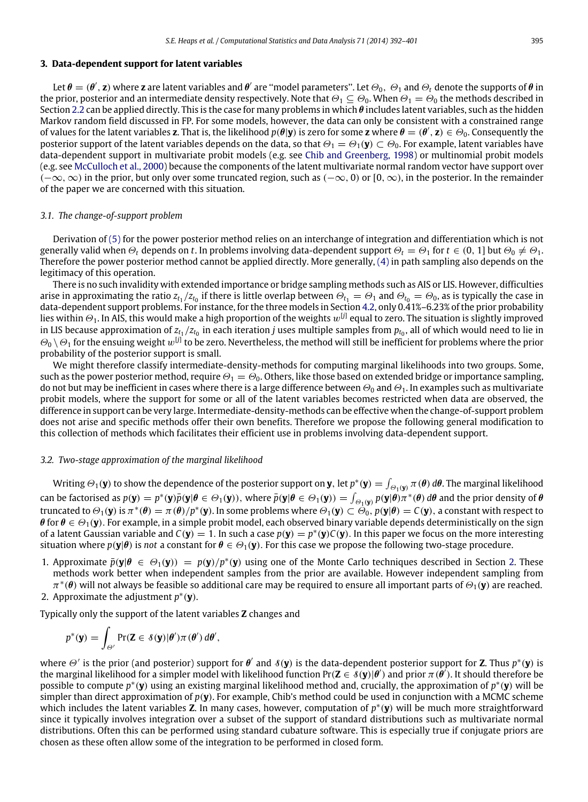#### <span id="page-4-0"></span>**3. Data-dependent support for latent variables**

Let  $\theta=(\theta',\mathbf{z})$  where  $\mathbf{z}$  are latent variables and  $\theta'$  are "model parameters". Let  $\Theta_0,\ \Theta_1$  and  $\Theta_t$  denote the supports of  $\theta$  in the prior, posterior and an intermediate density respectively. Note that  $\Theta_1 \subseteq \Theta_0$ . When  $\Theta_1 = \Theta_0$  the methods described in Section [2.2](#page-3-3) can be applied directly. This is the case for many problems in which  $\theta$  includes latent variables, such as the hidden Markov random field discussed in FP. For some models, however, the data can only be consistent with a constrained range of values for the latent variables **z**. That is, the likelihood  $p(\theta|\mathbf{y})$  is zero for some **z** where  $\theta = (\theta', \mathbf{z}) \in \Theta_0$ . Consequently the posterior support of the latent variables depends on the data, so that  $\Theta_1 = \Theta_1(\mathbf{y}) \subset \Theta_0$ . For example, latent variables have data-dependent support in multivariate probit models (e.g. see [Chib](#page-9-7) [and](#page-9-7) [Greenberg,](#page-9-7) [1998\)](#page-9-7) or multinomial probit models (e.g. see [McCulloch](#page-9-8) [et al.,](#page-9-8) [2000\)](#page-9-8) because the components of the latent multivariate normal random vector have support over  $(-\infty,\infty)$  in the prior, but only over some truncated region, such as  $(-\infty,0)$  or  $[0,\infty)$ , in the posterior. In the remainder of the paper we are concerned with this situation.

#### *3.1. The change-of-support problem*

Derivation of [\(5\)](#page-3-1) for the power posterior method relies on an interchange of integration and differentiation which is not generally valid when  $\Theta_t$  depends on *t*. In problems involving data-dependent support  $\Theta_t = \Theta_1$  for  $t \in (0, 1]$  but  $\Theta_0 \neq \Theta_1$ . Therefore the power posterior method cannot be applied directly. More generally, [\(4\)](#page-3-0) in path sampling also depends on the legitimacy of this operation.

There is no such invalidity with extended importance or bridge sampling methods such as AIS or LIS. However, difficulties arise in approximating the ratio  $z_{t_1}/z_{t_0}$  if there is little overlap between  $\Theta_{t_1}=\Theta_1$  and  $\Theta_{t_0}=\Theta_0$ , as is typically the case in data-dependent support problems. For instance, for the three models in Section [4.2,](#page-5-2) only 0.41%–6.23% of the prior probability lies within  $\Theta_1$ . In AIS, this would make a high proportion of the weights  $w^{[j]}$  equal to zero. The situation is slightly improved in LIS because approximation of  $z_{t_1}/z_{t_0}$  in each iteration  $j$  uses multiple samples from  $p_{t_0}$ , all of which would need to lie in  $\Theta_0\setminus\Theta_1$  for the ensuing weight  $w^{[j]}$  to be zero. Nevertheless, the method will still be inefficient for problems where the prior probability of the posterior support is small.

We might therefore classify intermediate-density-methods for computing marginal likelihoods into two groups. Some, such as the power posterior method, require  $\Theta_1 = \Theta_0$ . Others, like those based on extended bridge or importance sampling, do not but may be inefficient in cases where there is a large difference between  $\Theta_0$  and  $\Theta_1$ . In examples such as multivariate probit models, where the support for some or all of the latent variables becomes restricted when data are observed, the difference in support can be very large. Intermediate-density-methods can be effective when the change-of-support problem does not arise and specific methods offer their own benefits. Therefore we propose the following general modification to this collection of methods which facilitates their efficient use in problems involving data-dependent support.

#### *3.2. Two-stage approximation of the marginal likelihood*

Writing  $\Theta_1(\bf y)$  to show the dependence of the posterior support on  $\bf y$ , let  $p^*(\bf y)=\int_{\Theta_1(\bf y)}\pi(\bf\theta)\,d\bf\theta.$  The marginal likelihood can be factorised as  $p(\mathbf{y}) = p^*(\mathbf{y})\bar{p}(\mathbf{y}|\boldsymbol{\theta} \in \Theta_1(\mathbf{y}))$ , where  $\bar{p}(\mathbf{y}|\boldsymbol{\theta} \in \Theta_1(\mathbf{y})) = \int_{\Theta_1(\mathbf{y})} p(\mathbf{y}|\boldsymbol{\theta})\pi^*(\boldsymbol{\theta}) d\boldsymbol{\theta}$  and the prior density of  $\boldsymbol{\theta}$ truncated to  $\Theta_1(\mathbf{y})$  is  $\pi^*(\theta) = \pi(\theta)/p^*(\mathbf{y})$ . In some problems where  $\Theta_1(\mathbf{y}) \subset \Theta_0$ ,  $p(\mathbf{y}|\theta) = C(\mathbf{y})$ , a constant with respect to  $\theta$  for  $\theta \in \Theta_1(\mathbf{y})$ . For example, in a simple probit model, each observed binary variable depends deterministically on the sign of a latent Gaussian variable and  $C(y) = 1$ . In such a case  $p(y) = p^*(y)C(y)$ . In this paper we focus on the more interesting situation where  $p(\mathbf{v}|\boldsymbol{\theta})$  is *not* a constant for  $\boldsymbol{\theta} \in \Theta_1(\mathbf{v})$ . For this case we propose the following two-stage procedure.

- 1. Approximate  $\bar{p}(\mathbf{y}|\theta \in \Theta_1(\mathbf{y})) = p(\mathbf{y})/p^*(\mathbf{y})$  using one of the Monte Carlo techniques described in Section [2.](#page-2-0) These methods work better when independent samples from the prior are available. However independent sampling from  $\pi^*(\pmb{\theta})$  will not always be feasible so additional care may be required to ensure all important parts of  $\Theta_1(\pmb{y})$  are reached.
- 2. Approximate the adjustment *p* ∗ (**y**).

Typically only the support of the latent variables **Z** changes and

$$
p^*(\mathbf{y}) = \int_{\Theta'} \Pr(\mathbf{Z} \in \mathcal{S}(\mathbf{y})|\theta')\pi(\theta') d\theta',
$$

where  $\Theta'$  is the prior (and posterior) support for  $\theta'$  and  $\delta(y)$  is the data-dependent posterior support for **Z**. Thus  $p^*(y)$  is the marginal likelihood for a simpler model with likelihood function Pr( $Z \in \mathcal{S}(y)|\theta'$ ) and prior  $\pi(\theta')$ . It should therefore be possible to compute *p*<sup>∗</sup>(y) using an existing marginal likelihood method and, crucially, the approximation of *p*<sup>∗</sup>(y) will be simpler than direct approximation of  $p(y)$ . For example, Chib's method could be used in conjunction with a MCMC scheme which includes the latent variables **Z**. In many cases, however, computation of p<sup>\*</sup>(y) will be much more straightforward since it typically involves integration over a subset of the support of standard distributions such as multivariate normal distributions. Often this can be performed using standard cubature software. This is especially true if conjugate priors are chosen as these often allow some of the integration to be performed in closed form.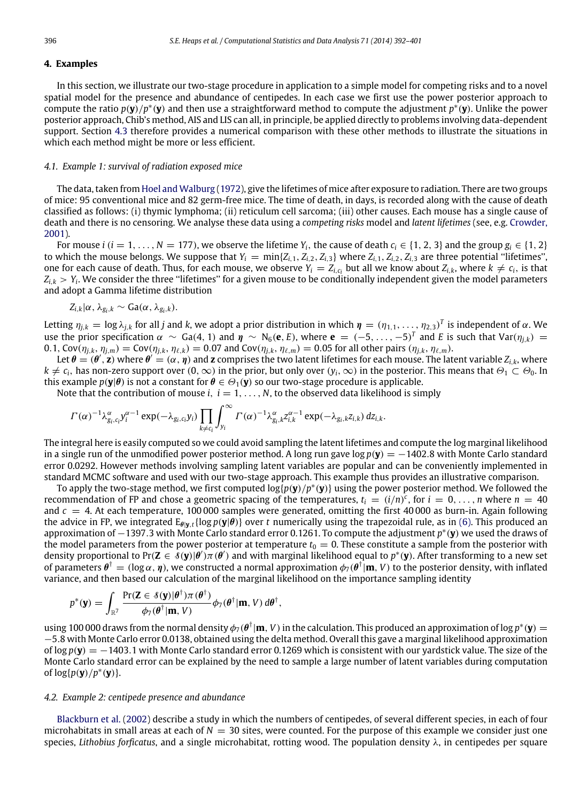#### <span id="page-5-0"></span>**4. Examples**

In this section, we illustrate our two-stage procedure in application to a simple model for competing risks and to a novel spatial model for the presence and abundance of centipedes. In each case we first use the power posterior approach to compute the ratio  $p(y)/p^*(y)$  and then use a straightforward method to compute the adjustment  $p^*(y)$ . Unlike the power posterior approach, Chib's method, AIS and LIS can all, in principle, be applied directly to problems involving data-dependent support. Section [4.3](#page-7-0) therefore provides a numerical comparison with these other methods to illustrate the situations in which each method might be more or less efficient.

#### <span id="page-5-1"></span>*4.1. Example 1: survival of radiation exposed mice*

The data, taken from [Hoel](#page-9-9) [and](#page-9-9) [Walburg](#page-9-9) [\(1972\)](#page-9-9), give the lifetimes of mice after exposure to radiation. There are two groups of mice: 95 conventional mice and 82 germ-free mice. The time of death, in days, is recorded along with the cause of death classified as follows: (i) thymic lymphoma; (ii) reticulum cell sarcoma; (iii) other causes. Each mouse has a single cause of death and there is no censoring. We analyse these data using a *competing risks* model and *latent lifetimes* (see, e.g. [Crowder,](#page-9-10) [2001\)](#page-9-10).

For mouse *i* ( $i = 1, \ldots, N = 177$ ), we observe the lifetime  $Y_i$ , the cause of death  $c_i \in \{1, 2, 3\}$  and the group  $g_i \in \{1, 2\}$ to which the mouse belongs. We suppose that  $Y_i = min\{Z_{i,1}, Z_{i,2}, Z_{i,3}\}$  where  $Z_{i,1}, Z_{i,2}, Z_{i,3}$  are three potential "lifetimes", one for each cause of death. Thus, for each mouse, we observe  $Y_i = Z_{i,c_i}$  but all we know about  $Z_{i,k}$ , where  $k \neq c_i$ , is that *Zi*,*<sup>k</sup>* > *Y<sup>i</sup>* . We consider the three ''lifetimes'' for a given mouse to be conditionally independent given the model parameters and adopt a Gamma lifetime distribution

$$
Z_{i,k}|\alpha,\lambda_{g_i,k}\sim Ga(\alpha,\lambda_{g_i,k}).
$$

Letting  $\eta_{j,k} = \log \lambda_{j,k}$  for all *j* and *k*, we adopt a prior distribution in which  $\pmb{\eta} = (\eta_{1,1},\ldots,\eta_{2,3})^T$  is independent of  $\alpha$ . We use the prior specification  $\alpha \sim$  Ga(4, 1) and  $\eta \sim N_6$ (**e**, *E*), where **e** = (−5, ..., −5)<sup>*T*</sup> and *E* is such that Var( $\eta_{j,k}$ ) = 0.1,  $Cov(\eta_{i,k}, \eta_{i,m}) = Cov(\eta_{i,k}, \eta_{\ell,k}) = 0.07$  and  $Cov(\eta_{i,k}, \eta_{\ell,m}) = 0.05$  for all other pairs  $(\eta_{i,k}, \eta_{\ell,m})$ .

Let  $\theta = (\theta', \mathbf{z})$  where  $\theta' = (\alpha, \eta)$  and  $\mathbf{z}$  comprises the two latent lifetimes for each mouse. The latent variable  $Z_{i,k}$ , where  $k \neq c_i$ , has non-zero support over  $(0, \infty)$  in the prior, but only over  $(y_i, \infty)$  in the posterior. This means that  $\Theta_1 \subset \Theta_0$ . In this example  $p(\mathbf{y}|\boldsymbol{\theta})$  is not a constant for  $\boldsymbol{\theta} \in \Theta_1(\mathbf{y})$  so our two-stage procedure is applicable.

Note that the contribution of mouse  $i, i = 1, \ldots, N$ , to the observed data likelihood is simply

$$
\Gamma(\alpha)^{-1}\lambda^{\alpha}_{g_i,c_i}y_i^{\alpha-1}\exp(-\lambda_{g_i,c_i}y_i)\prod_{k\neq c_i}\int_{y_i}^{\infty}\Gamma(\alpha)^{-1}\lambda^{\alpha}_{g_i,k}z_{i,k}^{\alpha-1}\exp(-\lambda_{g_i,k}z_{i,k})\,dz_{i,k}.
$$

The integral here is easily computed so we could avoid sampling the latent lifetimes and compute the log marginal likelihood in a single run of the unmodified power posterior method. A long run gave log *p*(**y**) = −1402.8 with Monte Carlo standard error 0.0292. However methods involving sampling latent variables are popular and can be conveniently implemented in standard MCMC software and used with our two-stage approach. This example thus provides an illustrative comparison.

To apply the two-stage method, we first computed log{*p*(**y**)/*p* ∗ (**y**)} using the power posterior method. We followed the recommendation of FP and chose a geometric spacing of the temperatures,  $t_i = (i/n)^c$ , for  $i = 0, \ldots, n$  where  $n = 40$ and  $c = 4$ . At each temperature, 100 000 samples were generated, omitting the first 40 000 as burn-in. Again following the advice in FP, we integrated  $E_{\theta|y,t} \{ \log p(y|\theta) \}$  over t numerically using the trapezoidal rule, as in [\(6\).](#page-3-2) This produced an approximation of −1397.3 with Monte Carlo standard error 0.1261. To compute the adjustment *p* ∗ (**y**) we used the draws of the model parameters from the power posterior at temperature  $t_0 = 0$ . These constitute a sample from the posterior with density proportional to Pr( $Z \in \dot{s}(y) \mid \theta'$ ) $\pi(\theta')$  and with marginal likelihood equal to  $p^*(y)$ . After transforming to a new set of parameters  $\theta^{\dagger} = (\log \alpha, \eta)$ , we constructed a normal approximation  $\phi_7(\theta^{\dagger}|\mathbf{m}, V)$  to the posterior density, with inflated variance, and then based our calculation of the marginal likelihood on the importance sampling identity

$$
p^*(\mathbf{y}) = \int_{\mathbb{R}^7} \frac{\Pr(\mathbf{Z} \in \mathcal{S}(\mathbf{y}) | \boldsymbol{\theta}^{\dagger}) \pi(\boldsymbol{\theta}^{\dagger})}{\phi_7(\boldsymbol{\theta}^{\dagger} | \mathbf{m}, V)} \phi_7(\boldsymbol{\theta}^{\dagger} | \mathbf{m}, V) d\boldsymbol{\theta}^{\dagger},
$$

using 100 000 draws from the normal density  $\phi_7(\theta^{\dagger}|\mathbf{m},V)$  in the calculation. This produced an approximation of log  $p^*(\mathbf{y})=$ −5.8 with Monte Carlo error 0.0138, obtained using the delta method. Overall this gave a marginal likelihood approximation of log *p*(**y**) = −1403.1 with Monte Carlo standard error 0.1269 which is consistent with our yardstick value. The size of the Monte Carlo standard error can be explained by the need to sample a large number of latent variables during computation of  $log{p(y)}/p^*(y)$ .

#### <span id="page-5-2"></span>*4.2. Example 2: centipede presence and abundance*

[Blackburn](#page-9-11) [et al.](#page-9-11) [\(2002\)](#page-9-11) describe a study in which the numbers of centipedes, of several different species, in each of four microhabitats in small areas at each of  $N = 30$  sites, were counted. For the purpose of this example we consider just one species, *Lithobius forficatus*, and a single microhabitat, rotting wood. The population density λ, in centipedes per square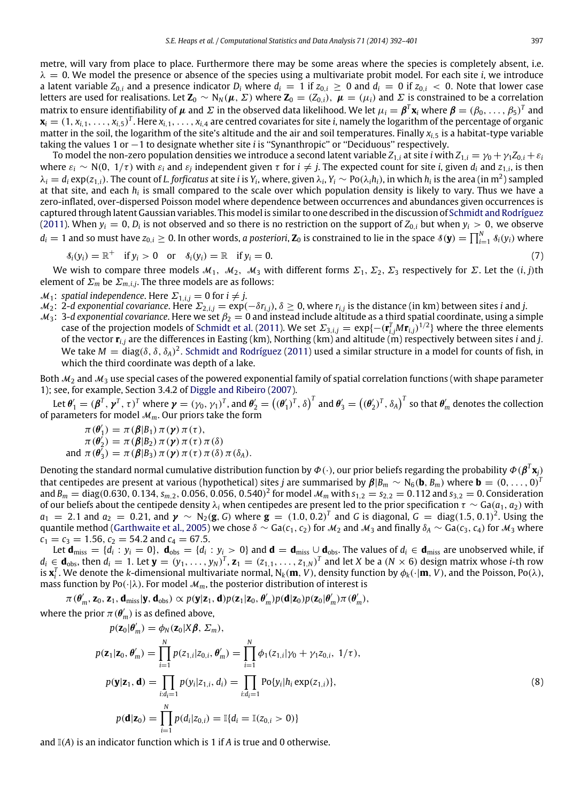metre, will vary from place to place. Furthermore there may be some areas where the species is completely absent, i.e.  $\lambda = 0$ . We model the presence or absence of the species using a multivariate probit model. For each site *i*, we introduce a latent variable  $Z_{0,i}$  and a presence indicator  $D_i$  where  $d_i = 1$  if  $z_{0,i} \ge 0$  and  $d_i = 0$  if  $z_{0,i} < 0$ . Note that lower case letters are used for realisations. Let **Z**<sub>0</sub> ∼ N<sub>N</sub>( $\mu$ ,  $\Sigma$ ) where **Z**<sub>0</sub> = ( $Z_{0,i}$ ),  $\mu$  = ( $\mu_i$ ) and  $\Sigma$  is constrained to be a correlation matrix to ensure identifiability of  $\mu$  and  $\Sigma$  in the observed data likelihood. We let  $\mu_i=\pmb\beta^T\mathbf{x}_i$  where  $\pmb\beta=(\beta_0,\ldots,\beta_5)^T$  and  $\mathbf{x}_i=(1,x_{i,1},\ldots,x_{i,5})^T.$  Here  $x_{i,1},\ldots,x_{i,4}$  are centred covariates for site  $i$ , namely the logarithm of the percentage of organic matter in the soil, the logarithm of the site's altitude and the air and soil temperatures. Finally  $x_i$ , is a habitat-type variable taking the values 1 or −1 to designate whether site *i* is "Synanthropic" or "Deciduous" respectively.

To model the non-zero population densities we introduce a second latent variable  $Z_{1,i}$  at site *i* with  $Z_{1,i} = \gamma_0 + \gamma_1 Z_{0,i} + \varepsilon_i$ where  $\varepsilon_i \sim N(0, 1/\tau)$  with  $\varepsilon_i$  and  $\varepsilon_j$  independent given  $\tau$  for  $i \neq j$ . The expected count for site *i*, given  $d_i$  and  $z_{1,i}$ , is then  $\lambda_i=d_i\exp(z_{1,i}).$  The count of L. forficatus at site i is  $Y_i$ , where, given  $\lambda_i, Y_i\sim \text{Po}(\lambda_i h_i),$  in which  $h_i$  is the area (in  $\text{m}^2$ ) sampled at that site, and each  $h_i$  is small compared to the scale over which population density is likely to vary. Thus we have a zero-inflated, over-dispersed Poisson model where dependence between occurrences and abundances given occurrences is captured through latent Gaussian variables. This model is similar to one described in the discussion of [Schmidt](#page-10-3) [and](#page-10-3) [Rodríguez](#page-10-3) [\(2011\)](#page-10-3). When  $y_i = 0$ ,  $D_i$  is not observed and so there is no restriction on the support of  $Z_{0,i}$  but when  $y_i > 0$ , we observe  $d_i=1$  and so must have  $z_{0,i}\geq 0$ . In other words, *a posteriori*,  $\mathbf{Z}_0$  is constrained to lie in the space  $\delta(\mathbf{y})=\prod_{i=1}^N\delta_i(y_i)$  where

<span id="page-6-0"></span>
$$
\delta_i(y_i) = \mathbb{R}^+ \quad \text{if } y_i > 0 \quad \text{or} \quad \delta_i(y_i) = \mathbb{R} \quad \text{if } y_i = 0. \tag{7}
$$

We wish to compare three models  $M_1$ ,  $M_2$ ,  $M_3$  with different forms  $\Sigma_1$ ,  $\Sigma_2$ ,  $\Sigma_3$  respectively for  $\Sigma$ . Let the  $(i, j)$ th element of  $\Sigma_m$  be  $\Sigma_{m,i,j}$ . The three models are as follows:

- $\mathcal{M}_1$ : *spatial independence*. Here  $\Sigma_{1,i,j} = 0$  for  $i \neq j$ .
- $M_2$ : 2-d exponential covariance. Here  $\Sigma_{2,i,j} = \exp(-\delta r_{i,j})$ ,  $\delta \ge 0$ , where  $r_{i,j}$  is the distance (in km) between sites *i* and *j*.
- $\mathcal{M}_3$ : 3-*d exponential covariance*. Here we set  $\beta_2 = 0$  and instead include altitude as a third spatial coordinate, using a simple case of the projection models of [Schmidt](#page-10-4) [et al.](#page-10-4) [\(2011\)](#page-10-4). We set  $\Sigma_{3,i,j} = \exp\{-(\mathbf{r}_{i,j}^T M \mathbf{r}_{i,j})^{1/2}\}$  where the three elements of the vector **r***i*,*<sup>j</sup>* are the differences in Easting (km), Northing (km) and altitude (m) respectively between sites *i* and *j*. We take  $M = diag(\delta, \delta, \delta_A)^2$ . [Schmidt](#page-10-3) [and](#page-10-3) [Rodríguez](#page-10-3) [\(2011\)](#page-10-3) used a similar structure in a model for counts of fish, in which the third coordinate was depth of a lake.

Both  $M_2$  and  $M_3$  use special cases of the powered exponential family of spatial correlation functions (with shape parameter 1); see, for example, Section 3.4.2 of [Diggle](#page-9-12) [and](#page-9-12) [Ribeiro](#page-9-12) [\(2007\)](#page-9-12).

Let  $\pmb{\theta}'_1=(\pmb{\beta}^T,\pmb{\gamma}^T,\tau)^T$  where  $\pmb{\gamma}=(\gamma_0,\gamma_1)^T$ , and  $\pmb{\theta}'_2=\left((\pmb{\theta}'_1)^T,\delta\right)^T$  and  $\pmb{\theta}'_3=\left((\pmb{\theta}'_2)^T,\delta_A\right)^T$  so that  $\pmb{\theta}'_m$  denotes the collection of parameters for model  $M_m$ . Our priors take the form

$$
\pi(\theta'_1) = \pi(\beta|B_1) \pi(\gamma) \pi(\tau),
$$
  
\n
$$
\pi(\theta'_2) = \pi(\beta|B_2) \pi(\gamma) \pi(\tau) \pi(\delta)
$$
  
\nand 
$$
\pi(\theta'_3) = \pi(\beta|B_3) \pi(\gamma) \pi(\tau) \pi(\delta) \pi(\delta_A).
$$

Denoting the standard normal cumulative distribution function by  $\phi$  ( $\cdot$ ), our prior beliefs regarding the probability  $\phi$  ( $\pmb{\beta}^T\mathbf{x}_j$ ) that centipedes are present at various (hypothetical) sites *j* are summarised by  $\pmb{\beta}|B_m\sim N_6({\bf b},B_m)$  where  ${\bf b}=(0,\ldots,0)^T$ and  $B_m =$  diag(0.630, 0.134,  $s_{m,2}$ , 0.056, 0.056, 0.540)<sup>2</sup> for model  $M_m$  with  $s_{1,2} = s_{2,2} = 0.112$  and  $s_{3,2} = 0$ . Consideration of our beliefs about the centipede density  $\lambda_i$  when centipedes are present led to the prior specification  $\tau \sim$  Ga( $a_1$ ,  $a_2$ ) with *a*<sub>1</sub> = 2.1 and *a*<sub>2</sub> = 0.21, and  $\gamma$  ∼ N<sub>2</sub>(**g**, *G*) where **g** =  $(1.0, 0.2)^T$  and *G* is diagonal, *G* = diag $(1.5, 0.1)^2$ . Using the quantile method [\(Garthwaite](#page-9-13) [et al.,](#page-9-13) [2005\)](#page-9-13) we chose  $\delta \sim$  Ga( $c_1$ ,  $c_2$ ) for  $\mathcal{M}_2$  and  $\mathcal{M}_3$  and finally  $\delta_A \sim$  Ga( $c_3$ ,  $c_4$ ) for  $\mathcal{M}_3$  where  $c_1 = c_3 = 1.56$ ,  $c_2 = 54.2$  and  $c_4 = 67.5$ .

Let  $\mathbf{d}_{\text{miss}} = \{d_i : y_i = 0\}$ ,  $\mathbf{d}_{\text{obs}} = \{d_i : y_i > 0\}$  and  $\mathbf{d} = \mathbf{d}_{\text{miss}} \cup \mathbf{d}_{\text{obs}}$ . The values of  $d_i \in \mathbf{d}_{\text{miss}}$  are unobserved while, if  $d_i\in\mathbf{d}_{\text{obs}}$ , then  $d_i=1$ . Let  $\mathbf{y}=(y_1,\ldots,y_N)^T$ ,  $\mathbf{z}_1=(z_{1,1},\ldots,z_{1,N})^T$  and let X be a  $(N\times6)$  design matrix whose *i*-th row is  $\mathbf{x}_i^T$ . We denote the *k*-dimensional multivariate normal,  $N_k(\mathbf{m}, V)$ , density function by  $\phi_k(\cdot|\mathbf{m}, V)$ , and the Poisson, Po( $\lambda$ ), mass function by Po( $\cdot | \lambda$ ). For model  $\mathcal{M}_m$ , the posterior distribution of interest is

 $\pi(\theta'_m, \mathbf{z}_0, \mathbf{z}_1, \mathbf{d}_{\text{miss}}|\mathbf{y}, \mathbf{d}_{\text{obs}}) \propto p(\mathbf{y}|\mathbf{z}_1, \mathbf{d})p(\mathbf{z}_1|\mathbf{z}_0, \theta'_m)p(\mathbf{d}|\mathbf{z}_0)p(\mathbf{z}_0|\theta'_m)\pi(\theta'_m),$ 

where the prior  $\pi(\theta'_{m})$  is as defined above,

<span id="page-6-1"></span>
$$
p(\mathbf{z}_0|\theta'_m) = \phi_N(\mathbf{z}_0|X\beta, \Sigma_m),
$$
  
\n
$$
p(\mathbf{z}_1|\mathbf{z}_0, \theta'_m) = \prod_{i=1}^N p(z_{1,i}|z_{0,i}, \theta'_m) = \prod_{i=1}^N \phi_1(z_{1,i}|\gamma_0 + \gamma_1 z_{0,i}, 1/\tau),
$$
  
\n
$$
p(\mathbf{y}|\mathbf{z}_1, \mathbf{d}) = \prod_{i:d_i=1}^N p(y_i|z_{1,i}, d_i) = \prod_{i:d_i=1}^N \text{Po}\{y_i|h_i \exp(z_{1,i})\},
$$
  
\n
$$
p(\mathbf{d}|\mathbf{z}_0) = \prod_{i=1}^N p(d_i|z_{0,i}) = \mathbb{I}\{d_i = \mathbb{I}(z_{0,i} > 0)\}
$$
\n(8)

and  $\mathbb{I}(A)$  is an indicator function which is 1 if *A* is true and 0 otherwise.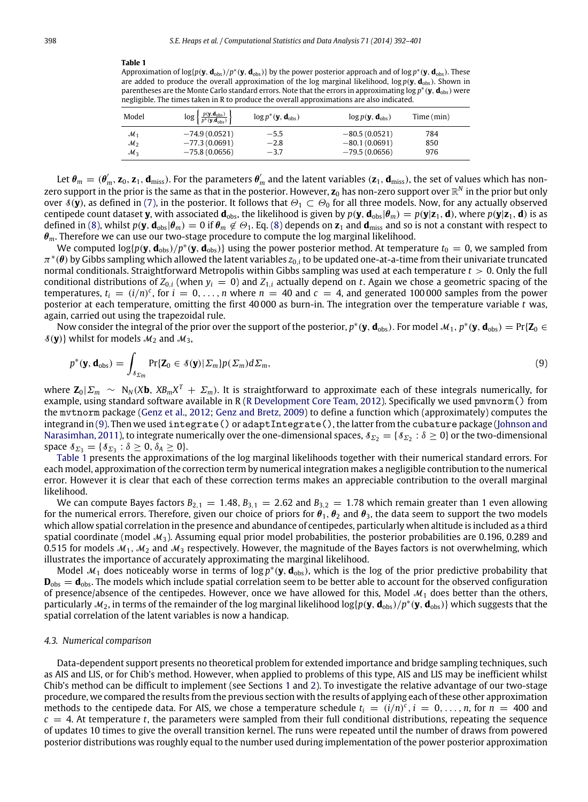#### <span id="page-7-2"></span>**Table 1**

Approximation of log{*p*(**y**, **d**obs)/*p* ∗ (**y**, **d**obs)} by the power posterior approach and of log *p* ∗ (**y**, **d**obs). These are added to produce the overall approximation of the log marginal likelihood, log *p*(**y**, **d**obs). Shown in parentheses are the Monte Carlo standard errors. Note that the errors in approximating log  $p^*(y, \mathbf{d}_{\rm obs})$  were negligible. The times taken in R to produce the overall approximations are also indicated.

| Model           | $\log \left\{\frac{p(\mathbf{y},\mathbf{d}_{\text{obs}})}{p^*(\mathbf{y},\mathbf{d}_{\text{obs}})}\right\}$ | $\log p^*(\mathbf{y}, \mathbf{d}_{\text{obs}})$ | $\log p(\mathbf{y}, \mathbf{d}_{\text{obs}})$ | Time (min) |
|-----------------|-------------------------------------------------------------------------------------------------------------|-------------------------------------------------|-----------------------------------------------|------------|
| $\mathcal{M}_1$ | $-74.9(0.0521)$                                                                                             | $-5.5$                                          | $-80.5(0.0521)$                               | 784        |
| $\mathcal{M}_2$ | $-77.3(0.0691)$                                                                                             | $-2.8$                                          | $-80.1(0.0691)$                               | 850        |
| $\mathcal{M}_3$ | $-75.8(0.0656)$                                                                                             | $-3.7$                                          | $-79.5(0.0656)$                               | 976        |

Let  $\pmb{\theta}_m=(\pmb{\theta}_m',\pmb{z}_0,\pmb{z}_1,\pmb{d}_{\rm miss})$ . For the parameters  $\pmb{\theta}_m'$  and the latent variables  $(\pmb{z}_1,\pmb{d}_{\rm miss})$ , the set of values which has nonzero support in the prior is the same as that in the posterior. However,  $\bm z_0$  has non-zero support over  $\mathbb R^N$  in the prior but only over  $\mathcal{S}(y)$ , as defined in [\(7\),](#page-6-0) in the posterior. It follows that  $\Theta_1\subset\Theta_0$  for all three models. Now, for any actually observed centipede count dataset **y**, with associated  $\mathbf{d}_{obs}$ , the likelihood is given by  $p(\mathbf{y}, \mathbf{d}_{obs} | \theta_m) = p(\mathbf{y} | \mathbf{z}_1, \mathbf{d})$ , where  $p(\mathbf{y} | \mathbf{z}_1, \mathbf{d})$  is as defined in [\(8\),](#page-6-1) whilst  $p(\mathbf{y}, \mathbf{d}_{obs} | \theta_m) = 0$  if  $\theta_m \notin \Theta_1$ . Eq. [\(8\)](#page-6-1) depends on  $\mathbf{z}_1$  and  $\mathbf{d}_{miss}$  and so is not a constant with respect to  $\theta_m$ . Therefore we can use our two-stage procedure to compute the log marginal likelihood.

We computed log{p( $y$ ,  $d_{obs}$ )/p\*( $y$ ,  $d_{obs}$ )} using the power posterior method. At temperature  $t_0=0$ , we sampled from  $\pi^*(\theta)$  by Gibbs sampling which allowed the latent variables  $z_{0,i}$  to be updated one-at-a-time from their univariate truncated normal conditionals. Straightforward Metropolis within Gibbs sampling was used at each temperature *t* > 0. Only the full conditional distributions of  $Z_{0,i}$  (when  $y_i = 0$ ) and  $Z_{1,i}$  actually depend on *t*. Again we chose a geometric spacing of the temperatures,  $t_i = (i/n)^c$ , for  $i = 0, ..., n$  where  $n = 40$  and  $c = 4$ , and generated 100000 samples from the power posterior at each temperature, omitting the first 40 000 as burn-in. The integration over the temperature variable *t* was, again, carried out using the trapezoidal rule.

Now consider the integral of the prior over the support of the posterior,  $p^*(y, \mathbf{d}_{obs})$ . For model  $\mathcal{M}_1, p^*(y, \mathbf{d}_{obs}) = \Pr\{\mathbf{Z}_0 \in \mathcal{M}_2\}$  $\mathcal{S}(\mathbf{y})$  whilst for models  $\mathcal{M}_2$  and  $\mathcal{M}_3$ ,

<span id="page-7-1"></span>
$$
p^*(\mathbf{y}, \mathbf{d}_{\text{obs}}) = \int_{\delta \Sigma_m} \Pr\{\mathbf{Z}_0 \in \delta(\mathbf{y}) | \Sigma_m\} p(\Sigma_m) d\Sigma_m,\tag{9}
$$

where **Z**0|Σ*<sup>m</sup>* ∼ N*<sup>N</sup>* (*X***b**, *XBmX <sup>T</sup>* + Σ*m*). It is straightforward to approximate each of these integrals numerically, for example, using standard software available in R [\(R](#page-10-5) [Development](#page-10-5) [Core](#page-10-5) [Team,](#page-10-5) [2012\)](#page-10-5). Specifically we used pmvnorm() from the mvtnorm package [\(Genz](#page-9-14) [et al.,](#page-9-14) [2012;](#page-9-14) [Genz](#page-9-15) [and](#page-9-15) [Bretz,](#page-9-15) [2009\)](#page-9-15) to define a function which (approximately) computes the integrand in [\(9\).](#page-7-1) Then we used integrate() or adaptIntegrate(), the latter from the cubature package [\(Johnson](#page-9-16) [and](#page-9-16) [Narasimhan,](#page-9-16) [2011\)](#page-9-16), to integrate numerically over the one-dimensional spaces,  $s_{\Sigma_2}=\{s_{\Sigma_2}:\delta\ge 0\}$  or the two-dimensional space  $\delta_{\Sigma_3} = {\delta_{\Sigma_3} : \delta \geq 0, \delta_A \geq 0}.$ 

[Table 1](#page-7-2) presents the approximations of the log marginal likelihoods together with their numerical standard errors. For each model, approximation of the correction term by numerical integration makes a negligible contribution to the numerical error. However it is clear that each of these correction terms makes an appreciable contribution to the overall marginal likelihood.

We can compute Bayes factors  $B_{2,1} = 1.48$ ,  $B_{3,1} = 2.62$  and  $B_{3,2} = 1.78$  which remain greater than 1 even allowing for the numerical errors. Therefore, given our choice of priors for  $\theta_1$ ,  $\theta_2$  and  $\theta_3$ , the data seem to support the two models which allow spatial correlation in the presence and abundance of centipedes, particularly when altitude is included as a third spatial coordinate (model  $M_3$ ). Assuming equal prior model probabilities, the posterior probabilities are 0.196, 0.289 and 0.515 for models  $M_1, M_2$  and  $M_3$  respectively. However, the magnitude of the Bayes factors is not overwhelming, which illustrates the importance of accurately approximating the marginal likelihood.

Model  $M_1$  does noticeably worse in terms of log  $p^*(y, d_{obs})$ , which is the log of the prior predictive probability that  $D_{\text{obs}} = d_{\text{obs}}$ . The models which include spatial correlation seem to be better able to account for the observed configuration of presence/absence of the centipedes. However, once we have allowed for this, Model  $\mathcal{M}_1$  does better than the others, particularly  $M_2$ , in terms of the remainder of the log marginal likelihood log{p(y,  $d_{obs}$ )/p<sup>\*</sup>(y,  $d_{obs}$ )} which suggests that the spatial correlation of the latent variables is now a handicap.

#### <span id="page-7-0"></span>*4.3. Numerical comparison*

Data-dependent support presents no theoretical problem for extended importance and bridge sampling techniques, such as AIS and LIS, or for Chib's method. However, when applied to problems of this type, AIS and LIS may be inefficient whilst Chib's method can be difficult to implement (see Sections [1](#page-1-2) and [2\)](#page-2-0). To investigate the relative advantage of our two-stage procedure, we compared the results from the previous section with the results of applying each of these other approximation methods to the centipede data. For AIS, we chose a temperature schedule  $t_i = (i/n)^c$ ,  $i = 0, \ldots, n$ , for  $n = 400$  and  $c = 4$ . At temperature *t*, the parameters were sampled from their full conditional distributions, repeating the sequence of updates 10 times to give the overall transition kernel. The runs were repeated until the number of draws from powered posterior distributions was roughly equal to the number used during implementation of the power posterior approximation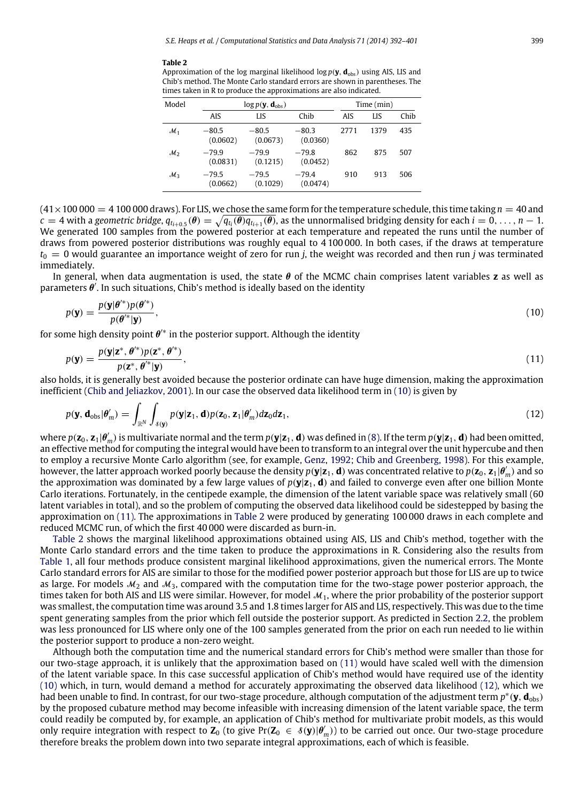#### <span id="page-8-2"></span>**Table 2**

Approximation of the log marginal likelihood  $\log p(\mathbf{y}, \mathbf{d}_{obs})$  using AIS, LIS and Chib's method. The Monte Carlo standard errors are shown in parentheses. The times taken in R to produce the approximations are also indicated.

<span id="page-8-1"></span><span id="page-8-0"></span>

| Model           |                     | $\log p(\mathbf{y}, \mathbf{d}_{\text{obs}})$ |                     | Time (min) |      |      |
|-----------------|---------------------|-----------------------------------------------|---------------------|------------|------|------|
|                 | AIS                 | LIS                                           | Chib                | AIS        | LIS  | Chib |
| $\mathcal{M}_1$ | $-80.5$<br>(0.0602) | $-80.5$<br>(0.0673)                           | $-80.3$<br>(0.0360) | 2771       | 1379 | 435  |
| $\mathcal{M}_2$ | $-79.9$<br>(0.0831) | $-79.9$<br>(0.1215)                           | $-79.8$<br>(0.0452) | 862        | 875  | 507  |
| $\mathcal{M}_3$ | $-79.5$<br>(0.0662) | $-79.5$<br>(0.1029)                           | $-79.4$<br>(0.0474) | 910        | 913  | 506  |

 $(41\times100\,000 = 4\,100\,000$  draws). For LIS, we chose the same form for the temperature schedule, this time taking  $n = 40$  and  $c=4$  with a geometric bridge,  $q_{t_{i+0.5}}(\theta)=\sqrt{q_{t_i}(\theta)q_{t_{i+1}}(\theta)}$ , as the unnormalised bridging density for each  $i=0,\ldots,n-1$ . We generated 100 samples from the powered posterior at each temperature and repeated the runs until the number of draws from powered posterior distributions was roughly equal to 4 100 000. In both cases, if the draws at temperature  $t_0 = 0$  would guarantee an importance weight of zero for run *j*, the weight was recorded and then run *j* was terminated immediately.

In general, when data augmentation is used, the state θ of the MCMC chain comprises latent variables **z** as well as parameters  $\theta'$ . In such situations, Chib's method is ideally based on the identity

$$
p(\mathbf{y}) = \frac{p(\mathbf{y}|\boldsymbol{\theta}^{\prime*})p(\boldsymbol{\theta}^{\prime*})}{p(\boldsymbol{\theta}^{\prime*}|\mathbf{y})},
$$
\n(10)

for some high density point  $\theta^{\prime*}$  in the posterior support. Although the identity

$$
p(\mathbf{y}) = \frac{p(\mathbf{y}|\mathbf{z}^*, \boldsymbol{\theta}'^*)p(\mathbf{z}^*, \boldsymbol{\theta}'^*)}{p(\mathbf{z}^*, \boldsymbol{\theta}'^*|\mathbf{y})},
$$
\n(11)

also holds, it is generally best avoided because the posterior ordinate can have huge dimension, making the approximation inefficient [\(Chib](#page-9-2) [and](#page-9-2) [Jeliazkov,](#page-9-2) [2001\)](#page-9-2). In our case the observed data likelihood term in [\(10\)](#page-8-0) is given by

<span id="page-8-3"></span>
$$
p(\mathbf{y}, \mathbf{d}_{\text{obs}}|\boldsymbol{\theta}'_m) = \int_{\mathbb{R}^N} \int_{\delta(\mathbf{y})} p(\mathbf{y}|\mathbf{z}_1, \mathbf{d}) p(\mathbf{z}_0, \mathbf{z}_1 | \boldsymbol{\theta}'_m) d\mathbf{z}_0 d\mathbf{z}_1,
$$
\n(12)

where  $p(\mathbf{z}_0,\mathbf{z}_1|\pmb{\theta}'_m)$  is multivariate normal and the term  $p(\mathbf{y}|\mathbf{z}_1,\mathbf{d})$  was defined in [\(8\).](#page-6-1) If the term  $p(\mathbf{y}|\mathbf{z}_1,\mathbf{d})$  had been omitted, an effective method for computing the integral would have been to transform to an integral over the unit hypercube and then to employ a recursive Monte Carlo algorithm (see, for example, [Genz,](#page-9-17) [1992;](#page-9-17) [Chib](#page-9-7) [and](#page-9-7) [Greenberg,](#page-9-7) [1998\)](#page-9-7). For this example, however, the latter approach worked poorly because the density  $p(y|z_1,d)$  was concentrated relative to  $p(z_0,z_1|\theta_m')$  and so the approximation was dominated by a few large values of  $p(y|z_1, d)$  and failed to converge even after one billion Monte Carlo iterations. Fortunately, in the centipede example, the dimension of the latent variable space was relatively small (60 latent variables in total), and so the problem of computing the observed data likelihood could be sidestepped by basing the approximation on [\(11\).](#page-8-1) The approximations in [Table 2](#page-8-2) were produced by generating 100 000 draws in each complete and reduced MCMC run, of which the first 40 000 were discarded as burn-in.

[Table 2](#page-8-2) shows the marginal likelihood approximations obtained using AIS, LIS and Chib's method, together with the Monte Carlo standard errors and the time taken to produce the approximations in R. Considering also the results from [Table 1,](#page-7-2) all four methods produce consistent marginal likelihood approximations, given the numerical errors. The Monte Carlo standard errors for AIS are similar to those for the modified power posterior approach but those for LIS are up to twice as large. For models  $M_2$  and  $M_3$ , compared with the computation time for the two-stage power posterior approach, the times taken for both AIS and LIS were similar. However, for model  $M_1$ , where the prior probability of the posterior support was smallest, the computation time was around 3.5 and 1.8 times larger for AIS and LIS, respectively. This was due to the time spent generating samples from the prior which fell outside the posterior support. As predicted in Section [2.2,](#page-3-3) the problem was less pronounced for LIS where only one of the 100 samples generated from the prior on each run needed to lie within the posterior support to produce a non-zero weight.

Although both the computation time and the numerical standard errors for Chib's method were smaller than those for our two-stage approach, it is unlikely that the approximation based on [\(11\)](#page-8-1) would have scaled well with the dimension of the latent variable space. In this case successful application of Chib's method would have required use of the identity [\(10\)](#page-8-0) which, in turn, would demand a method for accurately approximating the observed data likelihood [\(12\),](#page-8-3) which we had been unable to find. In contrast, for our two-stage procedure, although computation of the adjustment term *p* ∗ (**y**, **d**obs) by the proposed cubature method may become infeasible with increasing dimension of the latent variable space, the term could readily be computed by, for example, an application of Chib's method for multivariate probit models, as this would only require integration with respect to  $Z_0$  (to give Pr( $Z_0 \in \mathcal{S}(y|\theta_m')$ ) to be carried out once. Our two-stage procedure therefore breaks the problem down into two separate integral approximations, each of which is feasible.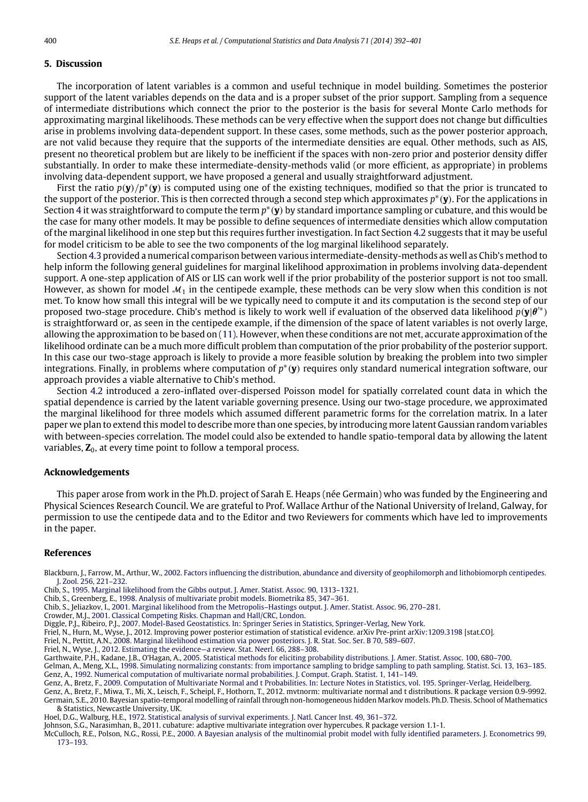#### **5. Discussion**

The incorporation of latent variables is a common and useful technique in model building. Sometimes the posterior support of the latent variables depends on the data and is a proper subset of the prior support. Sampling from a sequence of intermediate distributions which connect the prior to the posterior is the basis for several Monte Carlo methods for approximating marginal likelihoods. These methods can be very effective when the support does not change but difficulties arise in problems involving data-dependent support. In these cases, some methods, such as the power posterior approach, are not valid because they require that the supports of the intermediate densities are equal. Other methods, such as AIS, present no theoretical problem but are likely to be inefficient if the spaces with non-zero prior and posterior density differ substantially. In order to make these intermediate-density-methods valid (or more efficient, as appropriate) in problems involving data-dependent support, we have proposed a general and usually straightforward adjustment.

First the ratio *p*(**y**)/*p* ∗ (**y**) is computed using one of the existing techniques, modified so that the prior is truncated to the support of the posterior. This is then corrected through a second step which approximates *p* ∗ (**y**). For the applications in Section [4](#page-5-0) it was straightforward to compute the term  $p^*(y)$  by standard importance sampling or cubature, and this would be the case for many other models. It may be possible to define sequences of intermediate densities which allow computation of the marginal likelihood in one step but this requires further investigation. In fact Section [4.2](#page-5-2) suggests that it may be useful for model criticism to be able to see the two components of the log marginal likelihood separately.

Section [4.3](#page-7-0) provided a numerical comparison between various intermediate-density-methods as well as Chib's method to help inform the following general guidelines for marginal likelihood approximation in problems involving data-dependent support. A one-step application of AIS or LIS can work well if the prior probability of the posterior support is not too small. However, as shown for model  $M_1$  in the centipede example, these methods can be very slow when this condition is not met. To know how small this integral will be we typically need to compute it and its computation is the second step of our proposed two-stage procedure. Chib's method is likely to work well if evaluation of the observed data likelihood *p*(**y**|θ ′∗) is straightforward or, as seen in the centipede example, if the dimension of the space of latent variables is not overly large, allowing the approximation to be based on [\(11\).](#page-8-1) However, when these conditions are not met, accurate approximation of the likelihood ordinate can be a much more difficult problem than computation of the prior probability of the posterior support. In this case our two-stage approach is likely to provide a more feasible solution by breaking the problem into two simpler integrations. Finally, in problems where computation of p<sup>\*</sup>(y) requires only standard numerical integration software, our approach provides a viable alternative to Chib's method.

Section [4.2](#page-5-2) introduced a zero-inflated over-dispersed Poisson model for spatially correlated count data in which the spatial dependence is carried by the latent variable governing presence. Using our two-stage procedure, we approximated the marginal likelihood for three models which assumed different parametric forms for the correlation matrix. In a later paper we plan to extend this model to describe more than one species, by introducing more latent Gaussian random variables with between-species correlation. The model could also be extended to handle spatio-temporal data by allowing the latent variables,  $\mathbb{Z}_0$ , at every time point to follow a temporal process.

#### **Acknowledgements**

This paper arose from work in the Ph.D. project of Sarah E. Heaps (née Germain) who was funded by the Engineering and Physical Sciences Research Council. We are grateful to Prof. Wallace Arthur of the National University of Ireland, Galway, for permission to use the centipede data and to the Editor and two Reviewers for comments which have led to improvements in the paper.

#### **References**

<span id="page-9-11"></span>Blackburn, J., Farrow, M., Arthur, W., [2002. Factors influencing the distribution, abundance and diversity of geophilomorph and lithobiomorph centipedes.](http://refhub.elsevier.com/S0167-9473(13)00278-8/sbref1) J. Zool. 256, 221–232.

<span id="page-9-1"></span>Chib, S., [1995. Marginal likelihood from the Gibbs output. J. Amer. Statist. Assoc. 90, 1313–1321.](http://refhub.elsevier.com/S0167-9473(13)00278-8/sbref2)

- <span id="page-9-7"></span>Chib, S., Greenberg, E., [1998. Analysis of multivariate probit models. Biometrika 85, 347–361.](http://refhub.elsevier.com/S0167-9473(13)00278-8/sbref3)
- <span id="page-9-2"></span>Chib, S., Jeliazkov, I., [2001. Marginal likelihood from the Metropolis–Hastings output. J. Amer. Statist. Assoc. 96, 270–281.](http://refhub.elsevier.com/S0167-9473(13)00278-8/sbref4)
- <span id="page-9-10"></span>Crowder, M.J., [2001. Classical Competing Risks. Chapman and Hall/CRC, London.](http://refhub.elsevier.com/S0167-9473(13)00278-8/sbref5)

<span id="page-9-12"></span>Diggle, P.J., Ribeiro, P.J., [2007. Model-Based Geostatistics. In: Springer Series in Statistics, Springer-Verlag, New York.](http://refhub.elsevier.com/S0167-9473(13)00278-8/sbref6)

<span id="page-9-4"></span>Friel, N., Hurn, M., Wyse, J., 2012. Improving power posterior estimation of statistical evidence. arXiv Pre-print [arXiv:1209.3198](http://arxiv.org/1209.3198) [stat.CO].

<span id="page-9-3"></span>Friel, N., Pettitt, A.N., [2008. Marginal likelihood estimation via power posteriors. J. R. Stat. Soc. Ser. B 70, 589–607.](http://refhub.elsevier.com/S0167-9473(13)00278-8/sbref8)

<span id="page-9-0"></span>Friel, N., Wyse, J., [2012. Estimating the evidence—a review. Stat. Neerl. 66, 288–308.](http://refhub.elsevier.com/S0167-9473(13)00278-8/sbref9)

<span id="page-9-13"></span>Garthwaite, P.H., Kadane, J.B., O'Hagan, A., [2005. Statistical methods for eliciting probability distributions. J. Amer. Statist. Assoc. 100, 680–700.](http://refhub.elsevier.com/S0167-9473(13)00278-8/sbref10)

<span id="page-9-17"></span><span id="page-9-6"></span>Gelman, A., Meng, X.L., [1998. Simulating normalizing constants: from importance sampling to bridge sampling to path sampling. Statist. Sci. 13, 163–185.](http://refhub.elsevier.com/S0167-9473(13)00278-8/sbref11) Genz, A., [1992. Numerical computation of multivariate normal probabilities. J. Comput. Graph. Statist. 1, 141–149.](http://refhub.elsevier.com/S0167-9473(13)00278-8/sbref12)

<span id="page-9-15"></span><span id="page-9-14"></span><span id="page-9-5"></span>Genz, A., Bretz, F., [2009. Computation of Multivariate Normal and t Probabilities. In: Lecture Notes in Statistics, vol. 195. Springer-Verlag, Heidelberg.](http://refhub.elsevier.com/S0167-9473(13)00278-8/sbref13) Genz, A., Bretz, F., Miwa, T., Mi, X., Leisch, F., Scheipl, F., Hothorn, T., 2012. mvtnorm: multivariate normal and t distributions. R package version 0.9-9992. Germain, S.E., 2010. Bayesian spatio-temporal modelling of rainfall through non-homogeneous hidden Markov models. Ph.D. Thesis. School of Mathematics & Statistics, Newcastle University, UK.

<span id="page-9-9"></span>Hoel, D.G., Walburg, H.E., [1972. Statistical analysis of survival experiments. J. Natl. Cancer Inst. 49, 361–372.](http://refhub.elsevier.com/S0167-9473(13)00278-8/sbref16)

<span id="page-9-16"></span>Johnson, S.G., Narasimhan, B., 2011. cubature: adaptive multivariate integration over hypercubes. R package version 1.1-1.

<span id="page-9-8"></span>McCulloch, R.E., Polson, N.G., Rossi, P.E., [2000. A Bayesian analysis of the multinomial probit model with fully identified parameters. J. Econometrics 99,](http://refhub.elsevier.com/S0167-9473(13)00278-8/sbref18) 173–193.